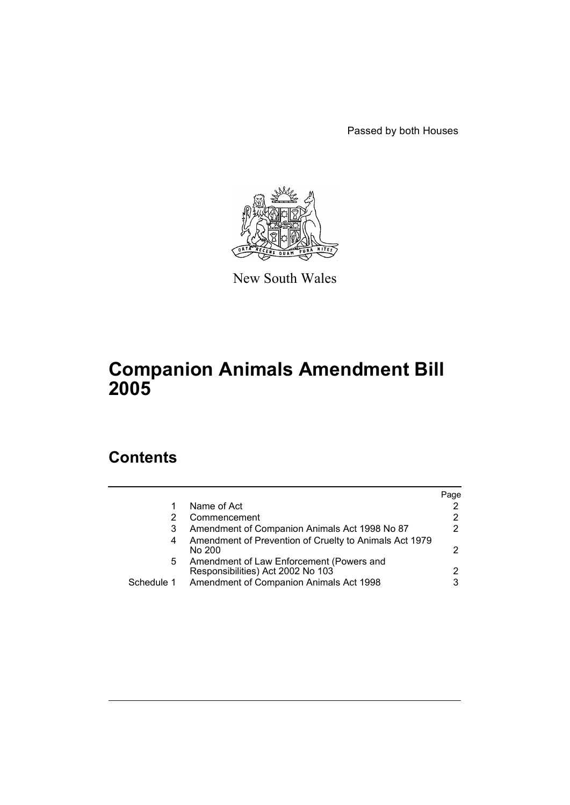Passed by both Houses



New South Wales

# **Companion Animals Amendment Bill 2005**

# **Contents**

|            |                                                                               | Page                  |
|------------|-------------------------------------------------------------------------------|-----------------------|
|            | Name of Act                                                                   | $\mathbf{2}^{\prime}$ |
|            | Commencement                                                                  | 2                     |
| 3          | Amendment of Companion Animals Act 1998 No 87                                 | $\mathcal{P}$         |
| 4          | Amendment of Prevention of Cruelty to Animals Act 1979<br>No 200              | 2                     |
| 5          | Amendment of Law Enforcement (Powers and<br>Responsibilities) Act 2002 No 103 | 2                     |
| Schedule 1 | Amendment of Companion Animals Act 1998                                       | 3                     |
|            |                                                                               |                       |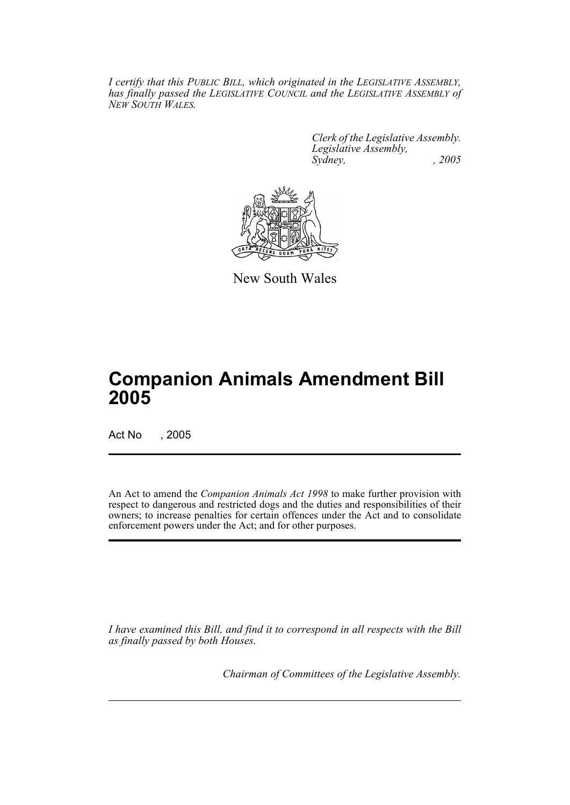*I certify that this PUBLIC BILL, which originated in the LEGISLATIVE ASSEMBLY, has finally passed the LEGISLATIVE COUNCIL and the LEGISLATIVE ASSEMBLY of NEW SOUTH WALES.*

> *Clerk of the Legislative Assembly. Legislative Assembly, Sydney, , 2005*



New South Wales

# **Companion Animals Amendment Bill 2005**

Act No , 2005

An Act to amend the *Companion Animals Act 1998* to make further provision with respect to dangerous and restricted dogs and the duties and responsibilities of their owners; to increase penalties for certain offences under the Act and to consolidate enforcement powers under the Act; and for other purposes.

*I have examined this Bill, and find it to correspond in all respects with the Bill as finally passed by both Houses.*

*Chairman of Committees of the Legislative Assembly.*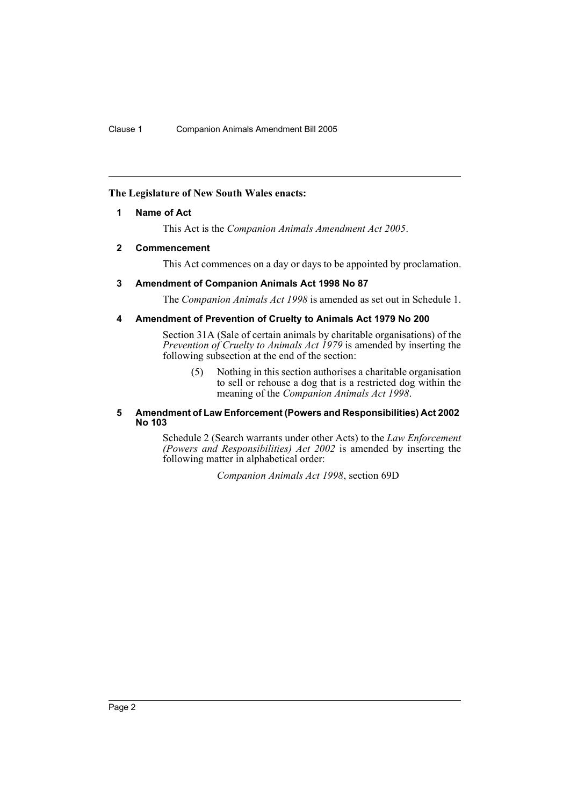### **The Legislature of New South Wales enacts:**

### **1 Name of Act**

This Act is the *Companion Animals Amendment Act 2005*.

### **2 Commencement**

This Act commences on a day or days to be appointed by proclamation.

### **3 Amendment of Companion Animals Act 1998 No 87**

The *Companion Animals Act 1998* is amended as set out in Schedule 1.

### **4 Amendment of Prevention of Cruelty to Animals Act 1979 No 200**

Section 31A (Sale of certain animals by charitable organisations) of the *Prevention of Cruelty to Animals Act 1979* is amended by inserting the following subsection at the end of the section:

(5) Nothing in this section authorises a charitable organisation to sell or rehouse a dog that is a restricted dog within the meaning of the *Companion Animals Act 1998*.

#### **5 Amendment of Law Enforcement (Powers and Responsibilities) Act 2002 No 103**

Schedule 2 (Search warrants under other Acts) to the *Law Enforcement (Powers and Responsibilities) Act 2002* is amended by inserting the following matter in alphabetical order:

*Companion Animals Act 1998*, section 69D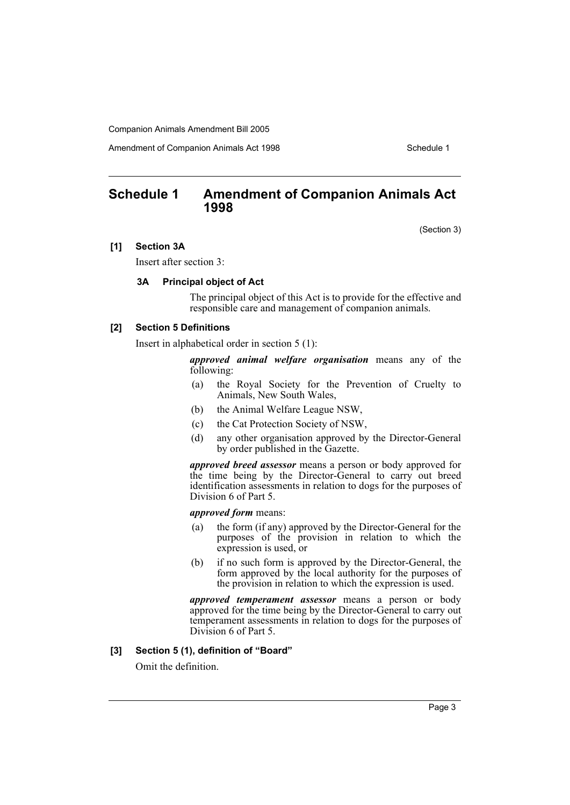Amendment of Companion Animals Act 1998 **Schedule 1** Schedule 1

## **Schedule 1 Amendment of Companion Animals Act 1998**

(Section 3)

### **[1] Section 3A**

Insert after section 3:

### **3A Principal object of Act**

The principal object of this Act is to provide for the effective and responsible care and management of companion animals.

### **[2] Section 5 Definitions**

Insert in alphabetical order in section 5 (1):

*approved animal welfare organisation* means any of the following:

- (a) the Royal Society for the Prevention of Cruelty to Animals, New South Wales,
- (b) the Animal Welfare League NSW,
- (c) the Cat Protection Society of NSW,
- (d) any other organisation approved by the Director-General by order published in the Gazette.

*approved breed assessor* means a person or body approved for the time being by the Director-General to carry out breed identification assessments in relation to dogs for the purposes of Division 6 of Part 5.

#### *approved form* means:

- (a) the form (if any) approved by the Director-General for the purposes of the provision in relation to which the expression is used, or
- (b) if no such form is approved by the Director-General, the form approved by the local authority for the purposes of the provision in relation to which the expression is used.

*approved temperament assessor* means a person or body approved for the time being by the Director-General to carry out temperament assessments in relation to dogs for the purposes of Division 6 of Part 5.

#### **[3] Section 5 (1), definition of "Board"**

Omit the definition.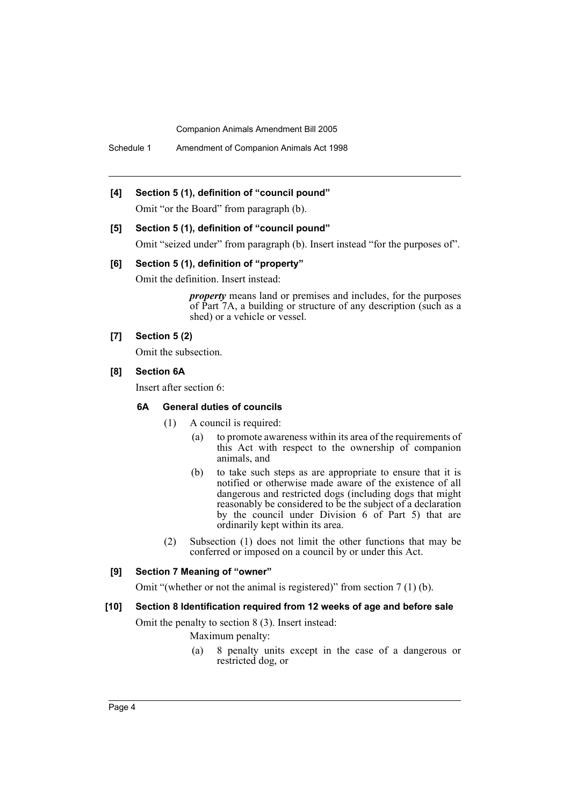Schedule 1 Amendment of Companion Animals Act 1998

### **[4] Section 5 (1), definition of "council pound"**

Omit "or the Board" from paragraph (b).

#### **[5] Section 5 (1), definition of "council pound"**

Omit "seized under" from paragraph (b). Insert instead "for the purposes of".

#### **[6] Section 5 (1), definition of "property"**

Omit the definition. Insert instead:

*property* means land or premises and includes, for the purposes of Part 7A, a building or structure of any description (such as a shed) or a vehicle or vessel.

### **[7] Section 5 (2)**

Omit the subsection.

### **[8] Section 6A**

Insert after section 6:

### **6A General duties of councils**

- (1) A council is required:
	- (a) to promote awareness within its area of the requirements of this Act with respect to the ownership of companion animals, and
	- (b) to take such steps as are appropriate to ensure that it is notified or otherwise made aware of the existence of all dangerous and restricted dogs (including dogs that might reasonably be considered to be the subject of a declaration by the council under Division 6 of Part 5) that are ordinarily kept within its area.
- (2) Subsection (1) does not limit the other functions that may be conferred or imposed on a council by or under this Act.

### **[9] Section 7 Meaning of "owner"**

Omit "(whether or not the animal is registered)" from section 7 (1) (b).

#### **[10] Section 8 Identification required from 12 weeks of age and before sale**

Omit the penalty to section 8 (3). Insert instead:

Maximum penalty:

(a) 8 penalty units except in the case of a dangerous or restricted dog, or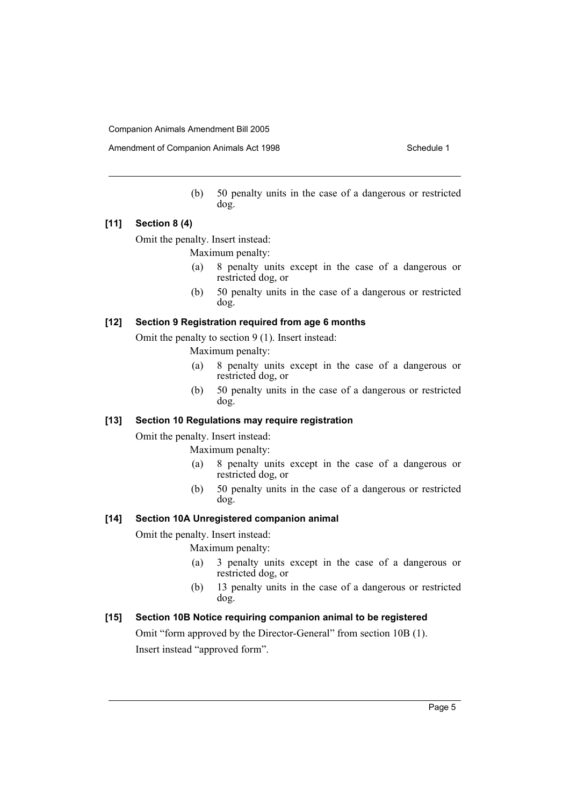Amendment of Companion Animals Act 1998 Schedule 1

(b) 50 penalty units in the case of a dangerous or restricted dog.

### **[11] Section 8 (4)**

Omit the penalty. Insert instead:

Maximum penalty:

- (a) 8 penalty units except in the case of a dangerous or restricted dog, or
- (b) 50 penalty units in the case of a dangerous or restricted dog.

### **[12] Section 9 Registration required from age 6 months**

Omit the penalty to section 9 (1). Insert instead:

Maximum penalty:

- (a) 8 penalty units except in the case of a dangerous or restricted dog, or
- (b) 50 penalty units in the case of a dangerous or restricted dog.

### **[13] Section 10 Regulations may require registration**

Omit the penalty. Insert instead:

Maximum penalty:

- (a) 8 penalty units except in the case of a dangerous or restricted dog, or
- (b) 50 penalty units in the case of a dangerous or restricted dog.

### **[14] Section 10A Unregistered companion animal**

Omit the penalty. Insert instead:

Maximum penalty:

- (a) 3 penalty units except in the case of a dangerous or restricted dog, or
- (b) 13 penalty units in the case of a dangerous or restricted dog.

### **[15] Section 10B Notice requiring companion animal to be registered**

Omit "form approved by the Director-General" from section 10B (1). Insert instead "approved form".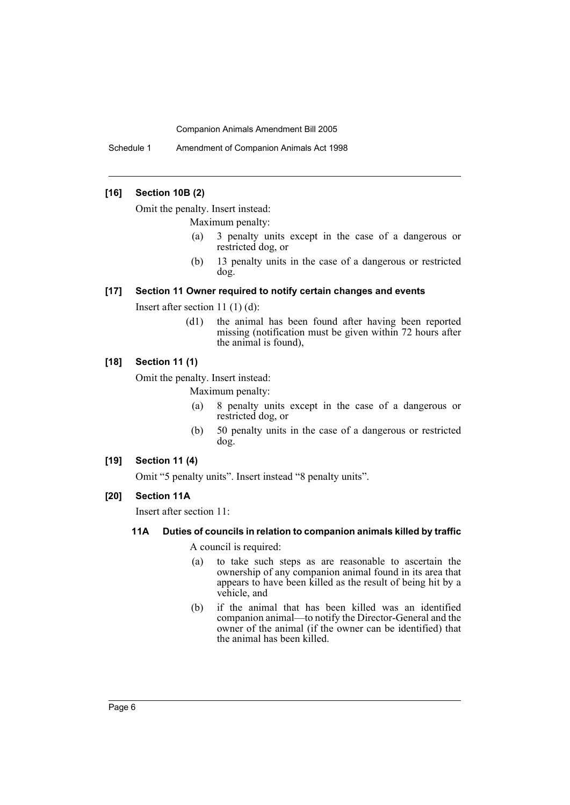Schedule 1 Amendment of Companion Animals Act 1998

### **[16] Section 10B (2)**

Omit the penalty. Insert instead:

Maximum penalty:

- (a) 3 penalty units except in the case of a dangerous or restricted dog, or
- (b) 13 penalty units in the case of a dangerous or restricted dog.

### **[17] Section 11 Owner required to notify certain changes and events**

Insert after section 11 (1) (d):

(d1) the animal has been found after having been reported missing (notification must be given within 72 hours after the animal is found),

### **[18] Section 11 (1)**

Omit the penalty. Insert instead:

Maximum penalty:

- (a) 8 penalty units except in the case of a dangerous or restricted dog, or
- (b) 50 penalty units in the case of a dangerous or restricted dog.

### **[19] Section 11 (4)**

Omit "5 penalty units". Insert instead "8 penalty units".

### **[20] Section 11A**

Insert after section 11:

### **11A Duties of councils in relation to companion animals killed by traffic**

A council is required:

- (a) to take such steps as are reasonable to ascertain the ownership of any companion animal found in its area that appears to have been killed as the result of being hit by a vehicle, and
- (b) if the animal that has been killed was an identified companion animal—to notify the Director-General and the owner of the animal (if the owner can be identified) that the animal has been killed.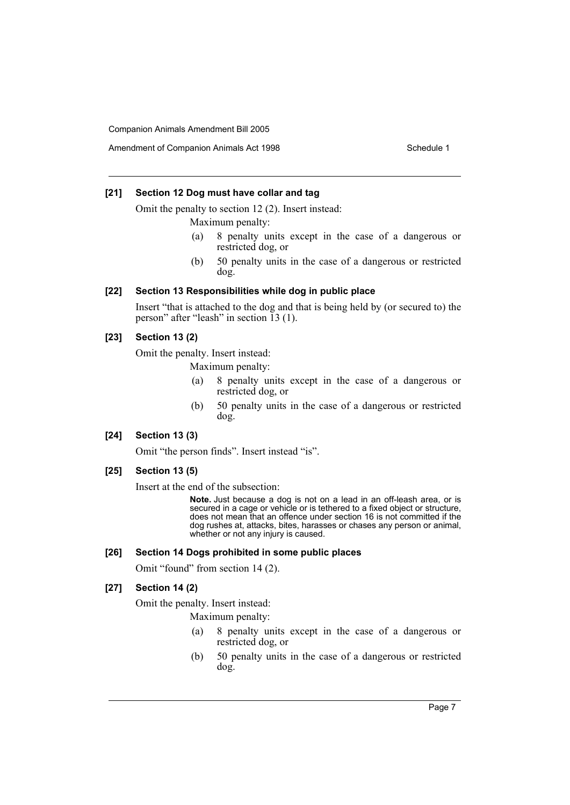### **[21] Section 12 Dog must have collar and tag**

Omit the penalty to section 12 (2). Insert instead:

Maximum penalty:

- (a) 8 penalty units except in the case of a dangerous or restricted dog, or
- (b) 50 penalty units in the case of a dangerous or restricted dog.

#### **[22] Section 13 Responsibilities while dog in public place**

Insert "that is attached to the dog and that is being held by (or secured to) the person" after "leash" in section 13 (1).

### **[23] Section 13 (2)**

Omit the penalty. Insert instead:

Maximum penalty:

- (a) 8 penalty units except in the case of a dangerous or restricted dog, or
- (b) 50 penalty units in the case of a dangerous or restricted dog.

### **[24] Section 13 (3)**

Omit "the person finds". Insert instead "is".

### **[25] Section 13 (5)**

Insert at the end of the subsection:

**Note.** Just because a dog is not on a lead in an off-leash area, or is secured in a cage or vehicle or is tethered to a fixed object or structure, does not mean that an offence under section 16 is not committed if the dog rushes at, attacks, bites, harasses or chases any person or animal, whether or not any injury is caused.

#### **[26] Section 14 Dogs prohibited in some public places**

Omit "found" from section 14 (2).

### **[27] Section 14 (2)**

Omit the penalty. Insert instead:

Maximum penalty:

- (a) 8 penalty units except in the case of a dangerous or restricted dog, or
- (b) 50 penalty units in the case of a dangerous or restricted dog.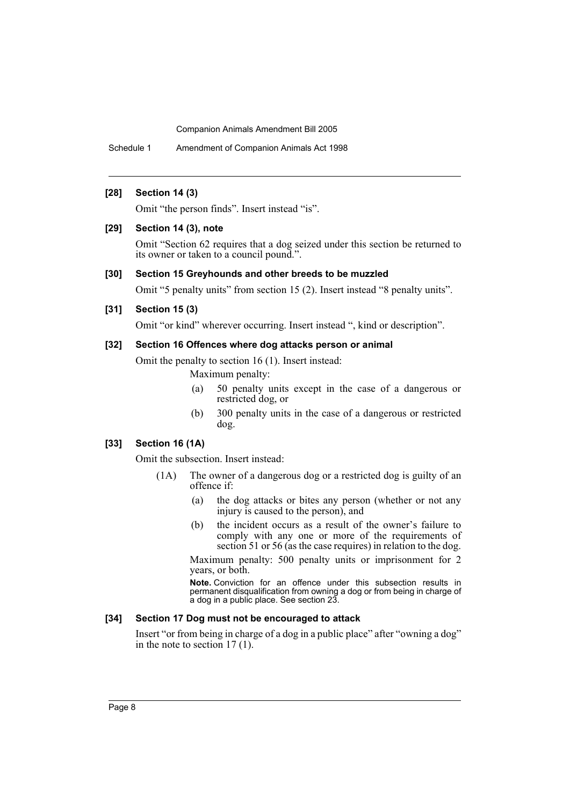Schedule 1 Amendment of Companion Animals Act 1998

### **[28] Section 14 (3)**

Omit "the person finds". Insert instead "is".

#### **[29] Section 14 (3), note**

Omit "Section 62 requires that a dog seized under this section be returned to its owner or taken to a council pound.".

### **[30] Section 15 Greyhounds and other breeds to be muzzled**

Omit "5 penalty units" from section 15 (2). Insert instead "8 penalty units".

### **[31] Section 15 (3)**

Omit "or kind" wherever occurring. Insert instead ", kind or description".

### **[32] Section 16 Offences where dog attacks person or animal**

Omit the penalty to section 16 (1). Insert instead:

Maximum penalty:

- (a) 50 penalty units except in the case of a dangerous or restricted dog, or
- (b) 300 penalty units in the case of a dangerous or restricted dog.

### **[33] Section 16 (1A)**

Omit the subsection. Insert instead:

- (1A) The owner of a dangerous dog or a restricted dog is guilty of an offence if:
	- (a) the dog attacks or bites any person (whether or not any injury is caused to the person), and
	- (b) the incident occurs as a result of the owner's failure to comply with any one or more of the requirements of section 51 or 56 (as the case requires) in relation to the dog.

Maximum penalty: 500 penalty units or imprisonment for 2 years, or both.

**Note.** Conviction for an offence under this subsection results in permanent disqualification from owning a dog or from being in charge of a dog in a public place. See section 23.

#### **[34] Section 17 Dog must not be encouraged to attack**

Insert "or from being in charge of a dog in a public place" after "owning a dog" in the note to section  $17(1)$ .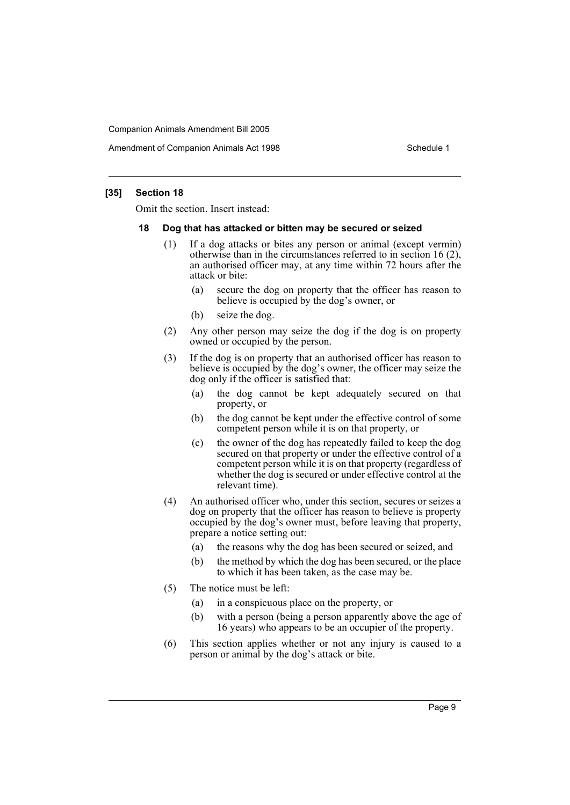Amendment of Companion Animals Act 1998 Schedule 1

### **[35] Section 18**

Omit the section. Insert instead:

#### **18 Dog that has attacked or bitten may be secured or seized**

- (1) If a dog attacks or bites any person or animal (except vermin) otherwise than in the circumstances referred to in section 16 (2), an authorised officer may, at any time within 72 hours after the attack or bite:
	- (a) secure the dog on property that the officer has reason to believe is occupied by the dog's owner, or
	- (b) seize the dog.
- (2) Any other person may seize the dog if the dog is on property owned or occupied by the person.
- (3) If the dog is on property that an authorised officer has reason to believe is occupied by the dog's owner, the officer may seize the dog only if the officer is satisfied that:
	- (a) the dog cannot be kept adequately secured on that property, or
	- (b) the dog cannot be kept under the effective control of some competent person while it is on that property, or
	- (c) the owner of the dog has repeatedly failed to keep the dog secured on that property or under the effective control of a competent person while it is on that property (regardless of whether the dog is secured or under effective control at the relevant time).
- (4) An authorised officer who, under this section, secures or seizes a dog on property that the officer has reason to believe is property occupied by the dog's owner must, before leaving that property, prepare a notice setting out:
	- (a) the reasons why the dog has been secured or seized, and
	- (b) the method by which the dog has been secured, or the place to which it has been taken, as the case may be.
- (5) The notice must be left:
	- (a) in a conspicuous place on the property, or
	- (b) with a person (being a person apparently above the age of 16 years) who appears to be an occupier of the property.
- (6) This section applies whether or not any injury is caused to a person or animal by the dog's attack or bite.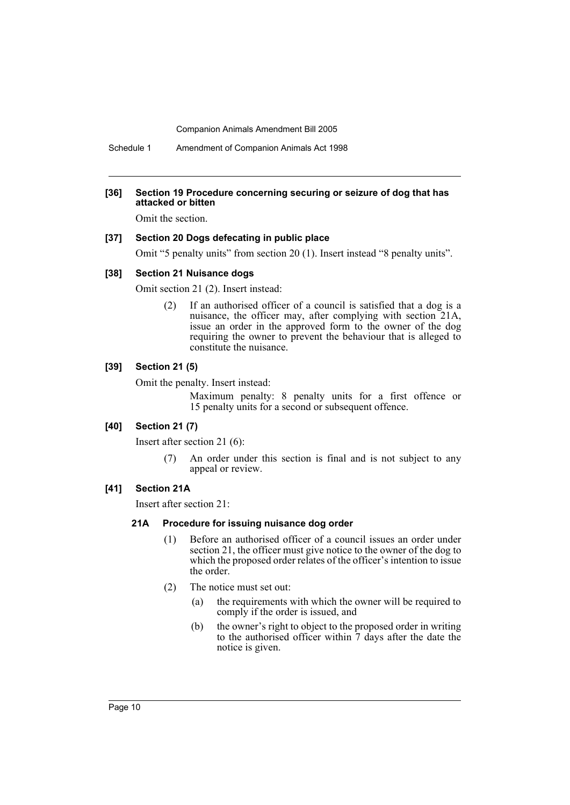Schedule 1 Amendment of Companion Animals Act 1998

#### **[36] Section 19 Procedure concerning securing or seizure of dog that has attacked or bitten**

Omit the section.

### **[37] Section 20 Dogs defecating in public place**

Omit "5 penalty units" from section 20 (1). Insert instead "8 penalty units".

#### **[38] Section 21 Nuisance dogs**

Omit section 21 (2). Insert instead:

(2) If an authorised officer of a council is satisfied that a dog is a nuisance, the officer may, after complying with section 21A, issue an order in the approved form to the owner of the dog requiring the owner to prevent the behaviour that is alleged to constitute the nuisance.

### **[39] Section 21 (5)**

Omit the penalty. Insert instead:

Maximum penalty: 8 penalty units for a first offence or 15 penalty units for a second or subsequent offence.

### **[40] Section 21 (7)**

Insert after section 21 (6):

(7) An order under this section is final and is not subject to any appeal or review.

### **[41] Section 21A**

Insert after section 21:

#### **21A Procedure for issuing nuisance dog order**

- (1) Before an authorised officer of a council issues an order under section 21, the officer must give notice to the owner of the dog to which the proposed order relates of the officer's intention to issue the order.
- (2) The notice must set out:
	- (a) the requirements with which the owner will be required to comply if the order is issued, and
	- (b) the owner's right to object to the proposed order in writing to the authorised officer within 7 days after the date the notice is given.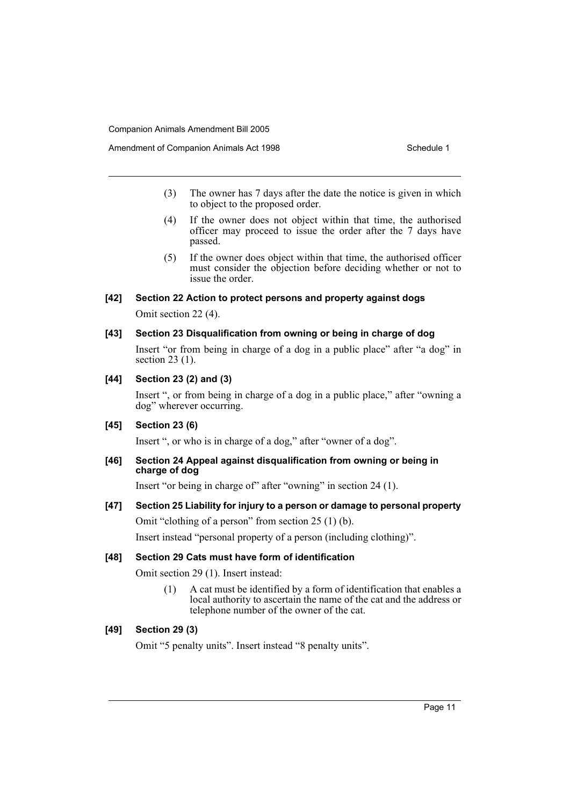- (3) The owner has 7 days after the date the notice is given in which to object to the proposed order.
- (4) If the owner does not object within that time, the authorised officer may proceed to issue the order after the 7 days have passed.
- (5) If the owner does object within that time, the authorised officer must consider the objection before deciding whether or not to issue the order.

#### **[42] Section 22 Action to protect persons and property against dogs**

Omit section 22 (4).

### **[43] Section 23 Disqualification from owning or being in charge of dog**

Insert "or from being in charge of a dog in a public place" after "a dog" in section 23 (1).

### **[44] Section 23 (2) and (3)**

Insert ", or from being in charge of a dog in a public place," after "owning a dog" wherever occurring.

### **[45] Section 23 (6)**

Insert ", or who is in charge of a dog," after "owner of a dog".

#### **[46] Section 24 Appeal against disqualification from owning or being in charge of dog**

Insert "or being in charge of" after "owning" in section 24 (1).

### **[47] Section 25 Liability for injury to a person or damage to personal property**

Omit "clothing of a person" from section 25 (1) (b).

Insert instead "personal property of a person (including clothing)".

#### **[48] Section 29 Cats must have form of identification**

Omit section 29 (1). Insert instead:

(1) A cat must be identified by a form of identification that enables a local authority to ascertain the name of the cat and the address or telephone number of the owner of the cat.

### **[49] Section 29 (3)**

Omit "5 penalty units". Insert instead "8 penalty units".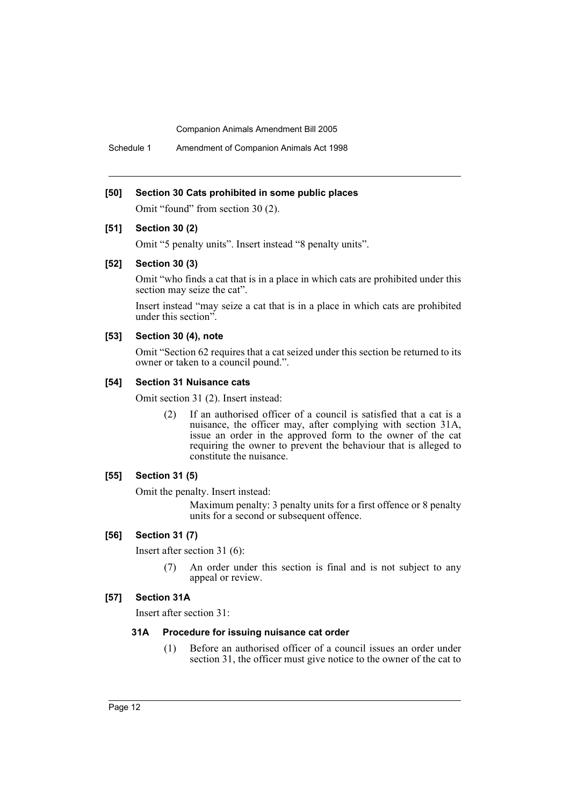Schedule 1 Amendment of Companion Animals Act 1998

#### **[50] Section 30 Cats prohibited in some public places**

Omit "found" from section 30 (2).

### **[51] Section 30 (2)**

Omit "5 penalty units". Insert instead "8 penalty units".

### **[52] Section 30 (3)**

Omit "who finds a cat that is in a place in which cats are prohibited under this section may seize the cat".

Insert instead "may seize a cat that is in a place in which cats are prohibited under this section".

### **[53] Section 30 (4), note**

Omit "Section 62 requires that a cat seized under this section be returned to its owner or taken to a council pound.".

### **[54] Section 31 Nuisance cats**

Omit section 31 (2). Insert instead:

(2) If an authorised officer of a council is satisfied that a cat is a nuisance, the officer may, after complying with section 31A, issue an order in the approved form to the owner of the cat requiring the owner to prevent the behaviour that is alleged to constitute the nuisance.

### **[55] Section 31 (5)**

Omit the penalty. Insert instead:

Maximum penalty: 3 penalty units for a first offence or 8 penalty units for a second or subsequent offence.

### **[56] Section 31 (7)**

Insert after section 31 (6):

(7) An order under this section is final and is not subject to any appeal or review.

#### **[57] Section 31A**

Insert after section 31:

### **31A Procedure for issuing nuisance cat order**

(1) Before an authorised officer of a council issues an order under section 31, the officer must give notice to the owner of the cat to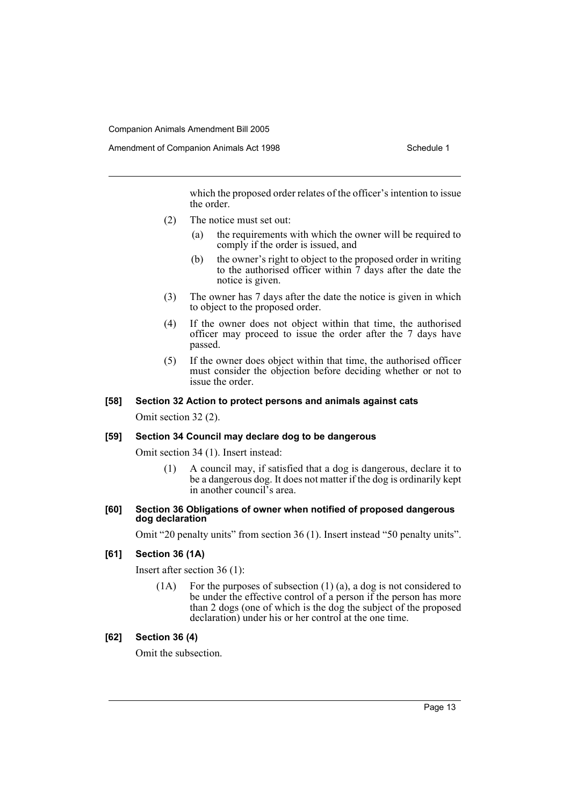which the proposed order relates of the officer's intention to issue the order.

- (2) The notice must set out:
	- (a) the requirements with which the owner will be required to comply if the order is issued, and
	- (b) the owner's right to object to the proposed order in writing to the authorised officer within 7 days after the date the notice is given.
- (3) The owner has 7 days after the date the notice is given in which to object to the proposed order.
- (4) If the owner does not object within that time, the authorised officer may proceed to issue the order after the 7 days have passed.
- (5) If the owner does object within that time, the authorised officer must consider the objection before deciding whether or not to issue the order.

### **[58] Section 32 Action to protect persons and animals against cats**

Omit section 32 (2).

#### **[59] Section 34 Council may declare dog to be dangerous**

Omit section 34 (1). Insert instead:

(1) A council may, if satisfied that a dog is dangerous, declare it to be a dangerous dog. It does not matter if the dog is ordinarily kept in another council's area.

#### **[60] Section 36 Obligations of owner when notified of proposed dangerous dog declaration**

Omit "20 penalty units" from section 36 (1). Insert instead "50 penalty units".

### **[61] Section 36 (1A)**

Insert after section 36 (1):

(1A) For the purposes of subsection (1) (a), a dog is not considered to be under the effective control of a person if the person has more than 2 dogs (one of which is the dog the subject of the proposed declaration) under his or her control at the one time.

### **[62] Section 36 (4)**

Omit the subsection.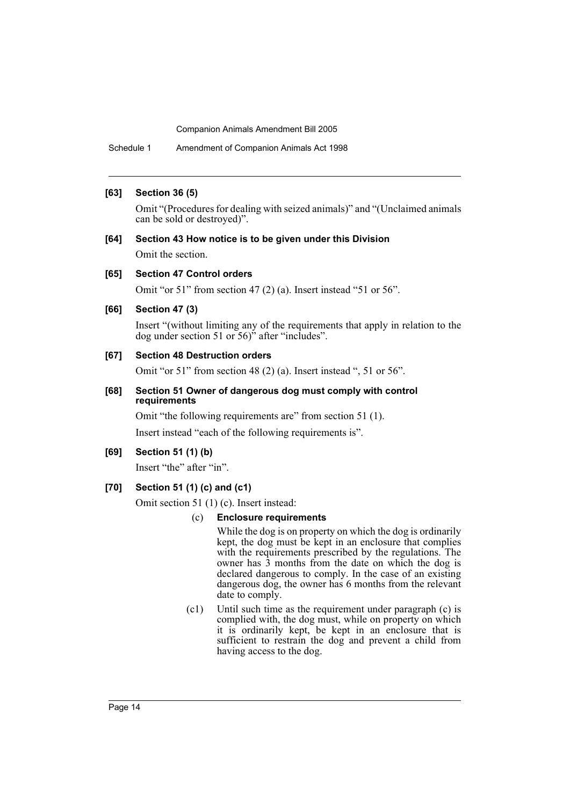Schedule 1 Amendment of Companion Animals Act 1998

### **[63] Section 36 (5)**

Omit "(Procedures for dealing with seized animals)" and "(Unclaimed animals can be sold or destroyed)".

### **[64] Section 43 How notice is to be given under this Division** Omit the section.

#### **[65] Section 47 Control orders**

Omit "or 51" from section 47 (2) (a). Insert instead "51 or 56".

#### **[66] Section 47 (3)**

Insert "(without limiting any of the requirements that apply in relation to the dog under section 51 or 56)" after "includes".

### **[67] Section 48 Destruction orders**

Omit "or 51" from section 48 (2) (a). Insert instead ", 51 or 56".

### **[68] Section 51 Owner of dangerous dog must comply with control requirements**

Omit "the following requirements are" from section 51 (1).

Insert instead "each of the following requirements is".

### **[69] Section 51 (1) (b)**

Insert "the" after "in".

### **[70] Section 51 (1) (c) and (c1)**

Omit section 51 (1) (c). Insert instead:

#### (c) **Enclosure requirements**

While the dog is on property on which the dog is ordinarily kept, the dog must be kept in an enclosure that complies with the requirements prescribed by the regulations. The owner has 3 months from the date on which the dog is declared dangerous to comply. In the case of an existing dangerous dog, the owner has 6 months from the relevant date to comply.

(c1) Until such time as the requirement under paragraph (c) is complied with, the dog must, while on property on which it is ordinarily kept, be kept in an enclosure that is sufficient to restrain the dog and prevent a child from having access to the dog.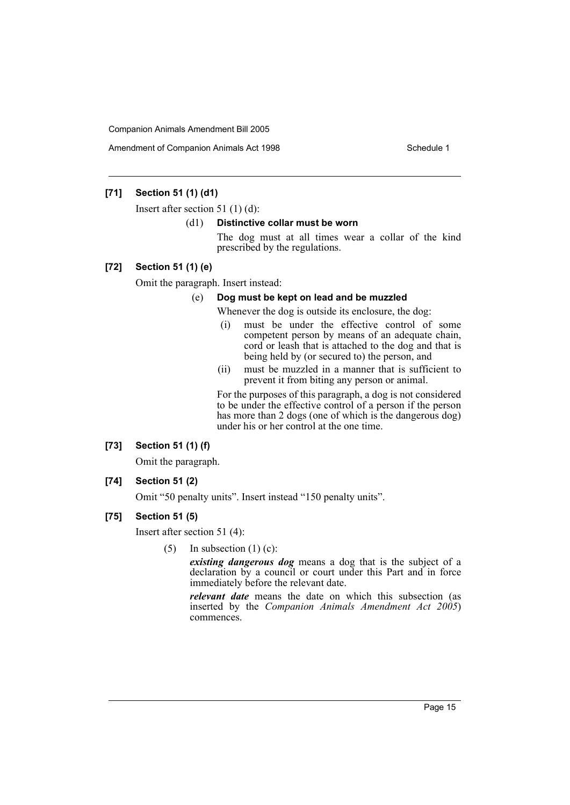Amendment of Companion Animals Act 1998 **Schedule 1** Schedule 1

### **[71] Section 51 (1) (d1)**

Insert after section 51 (1) (d):

#### (d1) **Distinctive collar must be worn**

The dog must at all times wear a collar of the kind prescribed by the regulations.

### **[72] Section 51 (1) (e)**

Omit the paragraph. Insert instead:

### (e) **Dog must be kept on lead and be muzzled**

Whenever the dog is outside its enclosure, the dog:

- (i) must be under the effective control of some competent person by means of an adequate chain, cord or leash that is attached to the dog and that is being held by (or secured to) the person, and
- (ii) must be muzzled in a manner that is sufficient to prevent it from biting any person or animal.

For the purposes of this paragraph, a dog is not considered to be under the effective control of a person if the person has more than 2 dogs (one of which is the dangerous dog) under his or her control at the one time.

### **[73] Section 51 (1) (f)**

Omit the paragraph.

**[74] Section 51 (2)**

Omit "50 penalty units". Insert instead "150 penalty units".

### **[75] Section 51 (5)**

Insert after section 51 (4):

(5) In subsection  $(1)$  (c):

*existing dangerous dog* means a dog that is the subject of a declaration by a council or court under this Part and in force immediately before the relevant date.

*relevant date* means the date on which this subsection (as inserted by the *Companion Animals Amendment Act 2005*) commences.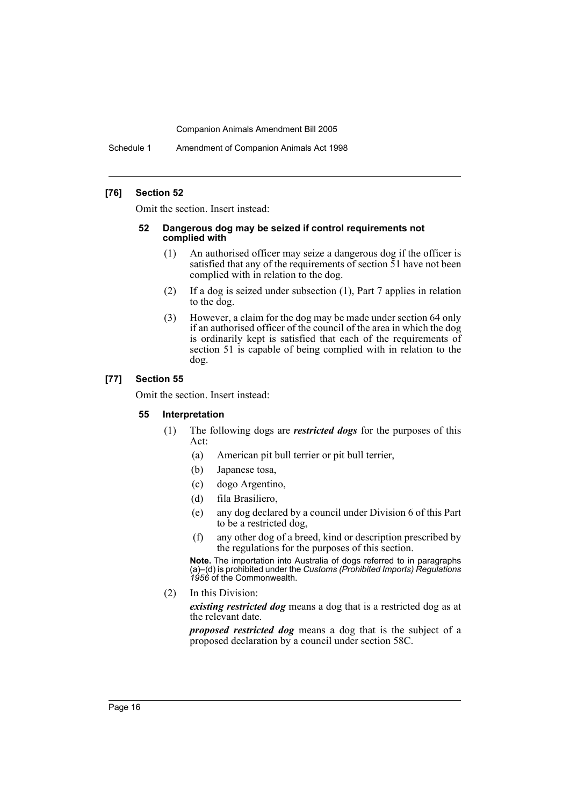Schedule 1 Amendment of Companion Animals Act 1998

### **[76] Section 52**

Omit the section. Insert instead:

#### **52 Dangerous dog may be seized if control requirements not complied with**

- (1) An authorised officer may seize a dangerous dog if the officer is satisfied that any of the requirements of section 51 have not been complied with in relation to the dog.
- (2) If a dog is seized under subsection (1), Part 7 applies in relation to the dog.
- (3) However, a claim for the dog may be made under section 64 only if an authorised officer of the council of the area in which the dog is ordinarily kept is satisfied that each of the requirements of section 51 is capable of being complied with in relation to the dog.

### **[77] Section 55**

Omit the section. Insert instead:

#### **55 Interpretation**

- (1) The following dogs are *restricted dogs* for the purposes of this Act:
	- (a) American pit bull terrier or pit bull terrier,
	- (b) Japanese tosa,
	- (c) dogo Argentino,
	- (d) fila Brasiliero,
	- (e) any dog declared by a council under Division 6 of this Part to be a restricted dog,
	- (f) any other dog of a breed, kind or description prescribed by the regulations for the purposes of this section.

**Note.** The importation into Australia of dogs referred to in paragraphs (a)–(d) is prohibited under the *Customs (Prohibited Imports) Regulations 1956* of the Commonwealth.

(2) In this Division:

*existing restricted dog* means a dog that is a restricted dog as at the relevant date.

*proposed restricted dog* means a dog that is the subject of a proposed declaration by a council under section 58C.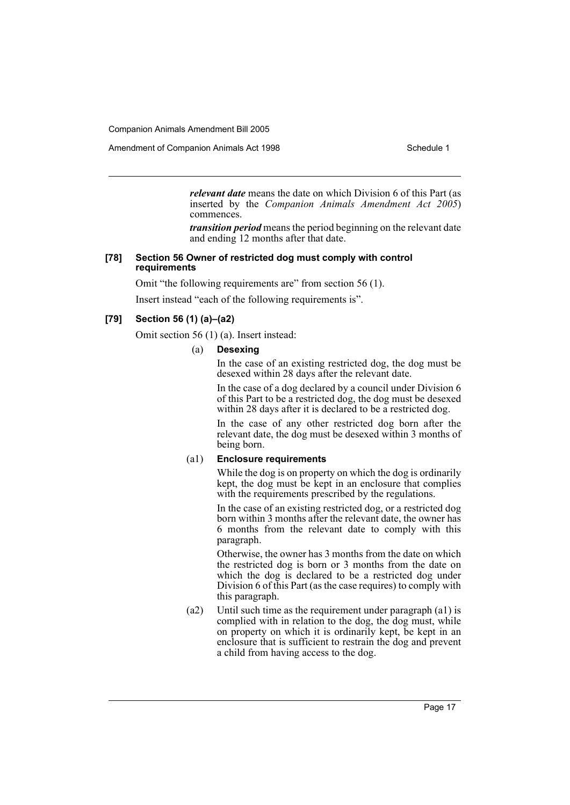Amendment of Companion Animals Act 1998 Schedule 1

*relevant date* means the date on which Division 6 of this Part (as inserted by the *Companion Animals Amendment Act 2005*) commences.

*transition period* means the period beginning on the relevant date and ending 12 months after that date.

### **[78] Section 56 Owner of restricted dog must comply with control requirements**

Omit "the following requirements are" from section 56 (1).

Insert instead "each of the following requirements is".

### **[79] Section 56 (1) (a)–(a2)**

Omit section 56 (1) (a). Insert instead:

### (a) **Desexing**

In the case of an existing restricted dog, the dog must be desexed within 28 days after the relevant date.

In the case of a dog declared by a council under Division 6 of this Part to be a restricted dog, the dog must be desexed within 28 days after it is declared to be a restricted dog.

In the case of any other restricted dog born after the relevant date, the dog must be desexed within 3 months of being born.

### (a1) **Enclosure requirements**

While the dog is on property on which the dog is ordinarily kept, the dog must be kept in an enclosure that complies with the requirements prescribed by the regulations.

In the case of an existing restricted dog, or a restricted dog born within 3 months after the relevant date, the owner has 6 months from the relevant date to comply with this paragraph.

Otherwise, the owner has 3 months from the date on which the restricted dog is born or 3 months from the date on which the dog is declared to be a restricted dog under Division 6 of this Part (as the case requires) to comply with this paragraph.

(a2) Until such time as the requirement under paragraph (a1) is complied with in relation to the dog, the dog must, while on property on which it is ordinarily kept, be kept in an enclosure that is sufficient to restrain the dog and prevent a child from having access to the dog.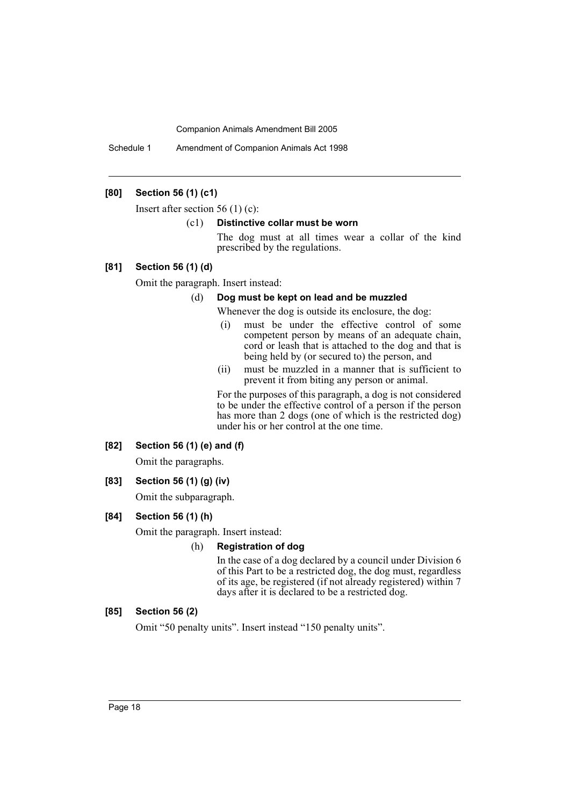Schedule 1 Amendment of Companion Animals Act 1998

### **[80] Section 56 (1) (c1)**

Insert after section 56 (1) (c):

#### (c1) **Distinctive collar must be worn**

The dog must at all times wear a collar of the kind prescribed by the regulations.

### **[81] Section 56 (1) (d)**

Omit the paragraph. Insert instead:

#### (d) **Dog must be kept on lead and be muzzled**

Whenever the dog is outside its enclosure, the dog:

- (i) must be under the effective control of some competent person by means of an adequate chain, cord or leash that is attached to the dog and that is being held by (or secured to) the person, and
- (ii) must be muzzled in a manner that is sufficient to prevent it from biting any person or animal.

For the purposes of this paragraph, a dog is not considered to be under the effective control of a person if the person has more than 2 dogs (one of which is the restricted dog) under his or her control at the one time.

### **[82] Section 56 (1) (e) and (f)**

Omit the paragraphs.

### **[83] Section 56 (1) (g) (iv)**

Omit the subparagraph.

### **[84] Section 56 (1) (h)**

Omit the paragraph. Insert instead:

#### (h) **Registration of dog**

In the case of a dog declared by a council under Division 6 of this Part to be a restricted dog, the dog must, regardless of its age, be registered (if not already registered) within 7 days after it is declared to be a restricted dog.

### **[85] Section 56 (2)**

Omit "50 penalty units". Insert instead "150 penalty units".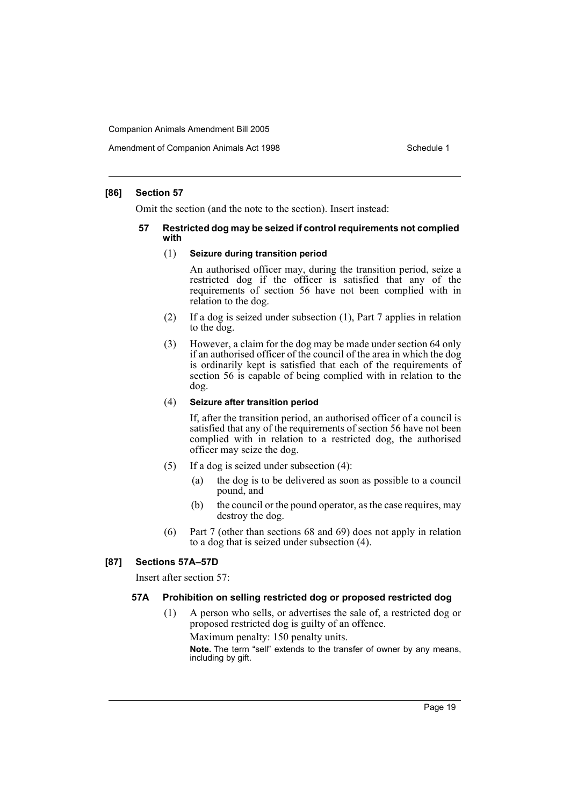#### **[86] Section 57**

Omit the section (and the note to the section). Insert instead:

#### **57 Restricted dog may be seized if control requirements not complied with**

#### (1) **Seizure during transition period**

An authorised officer may, during the transition period, seize a restricted dog if the officer is satisfied that any of the requirements of section 56 have not been complied with in relation to the dog.

- (2) If a dog is seized under subsection (1), Part 7 applies in relation to the dog.
- (3) However, a claim for the dog may be made under section 64 only if an authorised officer of the council of the area in which the dog is ordinarily kept is satisfied that each of the requirements of section 56 is capable of being complied with in relation to the dog.

#### (4) **Seizure after transition period**

If, after the transition period, an authorised officer of a council is satisfied that any of the requirements of section 56 have not been complied with in relation to a restricted dog, the authorised officer may seize the dog.

- (5) If a dog is seized under subsection (4):
	- (a) the dog is to be delivered as soon as possible to a council pound, and
	- (b) the council or the pound operator, as the case requires, may destroy the dog.
- (6) Part 7 (other than sections 68 and 69) does not apply in relation to a dog that is seized under subsection (4).

#### **[87] Sections 57A–57D**

Insert after section 57:

#### **57A Prohibition on selling restricted dog or proposed restricted dog**

(1) A person who sells, or advertises the sale of, a restricted dog or proposed restricted dog is guilty of an offence. Maximum penalty: 150 penalty units. **Note.** The term "sell" extends to the transfer of owner by any means,

including by gift.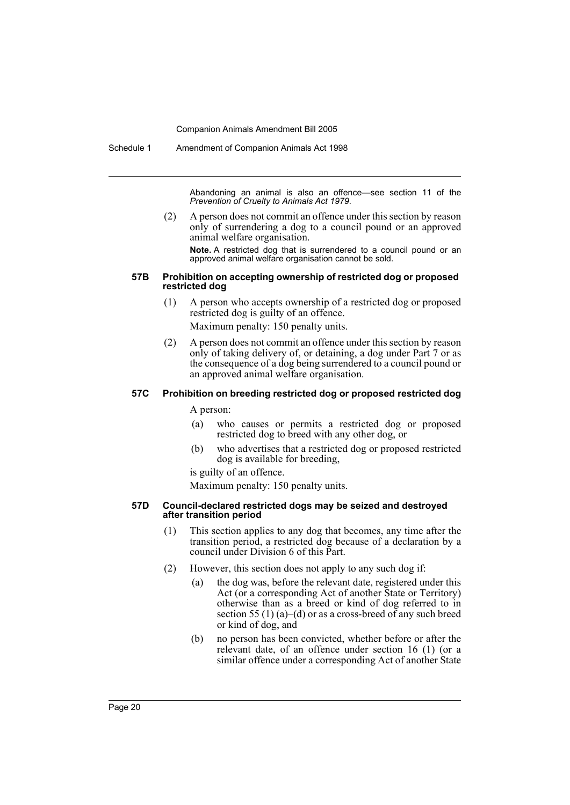Schedule 1 Amendment of Companion Animals Act 1998

Abandoning an animal is also an offence—see section 11 of the *Prevention of Cruelty to Animals Act 1979*.

(2) A person does not commit an offence under this section by reason only of surrendering a dog to a council pound or an approved animal welfare organisation.

**Note.** A restricted dog that is surrendered to a council pound or an approved animal welfare organisation cannot be sold.

#### **57B Prohibition on accepting ownership of restricted dog or proposed restricted dog**

(1) A person who accepts ownership of a restricted dog or proposed restricted dog is guilty of an offence.

Maximum penalty: 150 penalty units.

(2) A person does not commit an offence under this section by reason only of taking delivery of, or detaining, a dog under Part 7 or as the consequence of a dog being surrendered to a council pound or an approved animal welfare organisation.

### **57C Prohibition on breeding restricted dog or proposed restricted dog**

A person:

- (a) who causes or permits a restricted dog or proposed restricted dog to breed with any other dog, or
- (b) who advertises that a restricted dog or proposed restricted dog is available for breeding,

is guilty of an offence.

Maximum penalty: 150 penalty units.

#### **57D Council-declared restricted dogs may be seized and destroyed after transition period**

- (1) This section applies to any dog that becomes, any time after the transition period, a restricted dog because of a declaration by a council under Division 6 of this Part.
- (2) However, this section does not apply to any such dog if:
	- (a) the dog was, before the relevant date, registered under this Act (or a corresponding Act of another State or Territory) otherwise than as a breed or kind of dog referred to in section 55 (1) (a)–(d) or as a cross-breed of any such breed or kind of dog, and
	- (b) no person has been convicted, whether before or after the relevant date, of an offence under section 16 (1) (or a similar offence under a corresponding Act of another State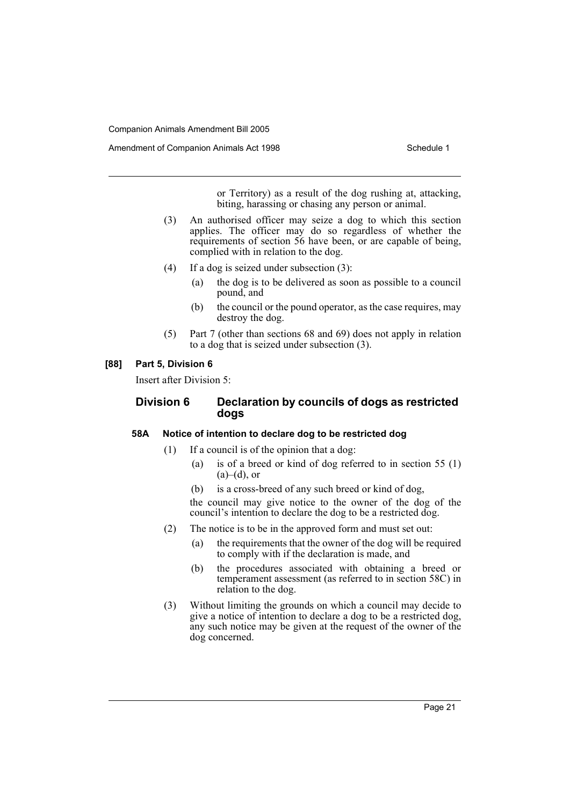Amendment of Companion Animals Act 1998 **Schedule 1** Schedule 1

or Territory) as a result of the dog rushing at, attacking, biting, harassing or chasing any person or animal.

- (3) An authorised officer may seize a dog to which this section applies. The officer may do so regardless of whether the requirements of section 56 have been, or are capable of being, complied with in relation to the dog.
- (4) If a dog is seized under subsection (3):
	- (a) the dog is to be delivered as soon as possible to a council pound, and
	- (b) the council or the pound operator, as the case requires, may destroy the dog.
- (5) Part 7 (other than sections 68 and 69) does not apply in relation to a dog that is seized under subsection (3).

#### **[88] Part 5, Division 6**

Insert after Division 5:

### **Division 6 Declaration by councils of dogs as restricted dogs**

### **58A Notice of intention to declare dog to be restricted dog**

- (1) If a council is of the opinion that a dog:
	- (a) is of a breed or kind of dog referred to in section 55 (1)  $(a)$ – $(d)$ , or
	- (b) is a cross-breed of any such breed or kind of dog,

the council may give notice to the owner of the dog of the council's intention to declare the dog to be a restricted dog.

- (2) The notice is to be in the approved form and must set out:
	- (a) the requirements that the owner of the dog will be required to comply with if the declaration is made, and
	- (b) the procedures associated with obtaining a breed or temperament assessment (as referred to in section 58C) in relation to the dog.
- (3) Without limiting the grounds on which a council may decide to give a notice of intention to declare a dog to be a restricted dog, any such notice may be given at the request of the owner of the dog concerned.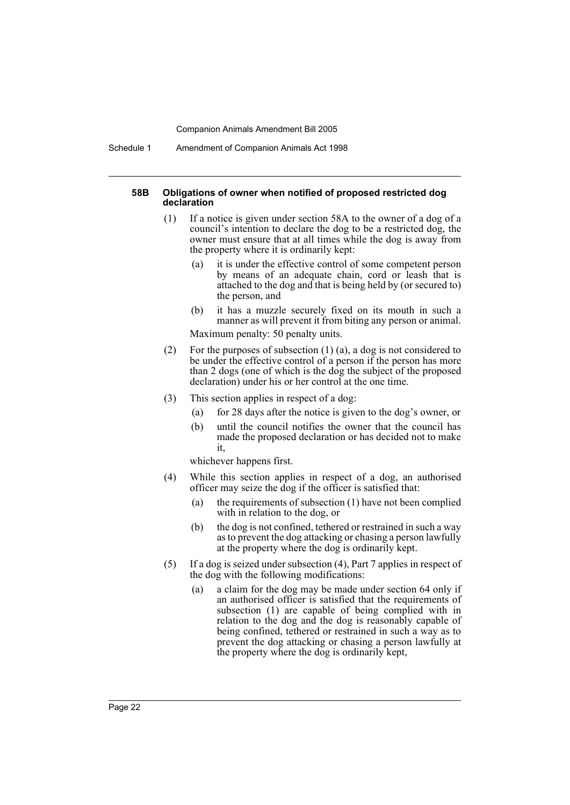Schedule 1 Amendment of Companion Animals Act 1998

#### **58B Obligations of owner when notified of proposed restricted dog declaration**

- (1) If a notice is given under section 58A to the owner of a dog of a council's intention to declare the dog to be a restricted dog, the owner must ensure that at all times while the dog is away from the property where it is ordinarily kept:
	- (a) it is under the effective control of some competent person by means of an adequate chain, cord or leash that is attached to the dog and that is being held by (or secured to) the person, and
	- (b) it has a muzzle securely fixed on its mouth in such a manner as will prevent it from biting any person or animal.

Maximum penalty: 50 penalty units.

- (2) For the purposes of subsection (1) (a), a dog is not considered to be under the effective control of a person if the person has more than 2 dogs (one of which is the dog the subject of the proposed declaration) under his or her control at the one time.
- (3) This section applies in respect of a dog:
	- (a) for 28 days after the notice is given to the dog's owner, or
	- (b) until the council notifies the owner that the council has made the proposed declaration or has decided not to make it,

whichever happens first.

- (4) While this section applies in respect of a dog, an authorised officer may seize the dog if the officer is satisfied that:
	- (a) the requirements of subsection (1) have not been complied with in relation to the dog, or
	- (b) the dog is not confined, tethered or restrained in such a way as to prevent the dog attacking or chasing a person lawfully at the property where the dog is ordinarily kept.
- (5) If a dog is seized under subsection (4), Part 7 applies in respect of the dog with the following modifications:
	- (a) a claim for the dog may be made under section 64 only if an authorised officer is satisfied that the requirements of subsection (1) are capable of being complied with in relation to the dog and the dog is reasonably capable of being confined, tethered or restrained in such a way as to prevent the dog attacking or chasing a person lawfully at the property where the dog is ordinarily kept,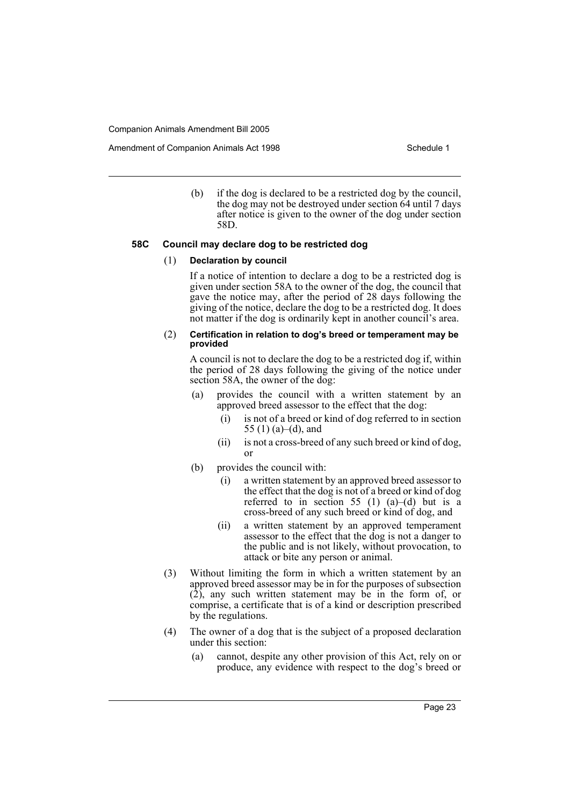Amendment of Companion Animals Act 1998 Schedule 1

(b) if the dog is declared to be a restricted dog by the council, the dog may not be destroyed under section 64 until 7 days after notice is given to the owner of the dog under section 58D.

### **58C Council may declare dog to be restricted dog**

#### (1) **Declaration by council**

If a notice of intention to declare a dog to be a restricted dog is given under section 58A to the owner of the dog, the council that gave the notice may, after the period of 28 days following the giving of the notice, declare the dog to be a restricted dog. It does not matter if the dog is ordinarily kept in another council's area.

#### (2) **Certification in relation to dog's breed or temperament may be provided**

A council is not to declare the dog to be a restricted dog if, within the period of 28 days following the giving of the notice under section 58A, the owner of the dog:

- (a) provides the council with a written statement by an approved breed assessor to the effect that the dog:
	- (i) is not of a breed or kind of dog referred to in section 55 (1) (a)–(d), and
	- (ii) is not a cross-breed of any such breed or kind of dog, or
- (b) provides the council with:
	- (i) a written statement by an approved breed assessor to the effect that the dog is not of a breed or kind of dog referred to in section 55 (1)  $(a)$ – $(d)$  but is a cross-breed of any such breed or kind of dog, and
	- (ii) a written statement by an approved temperament assessor to the effect that the dog is not a danger to the public and is not likely, without provocation, to attack or bite any person or animal.
- (3) Without limiting the form in which a written statement by an approved breed assessor may be in for the purposes of subsection (2), any such written statement may be in the form of, or comprise, a certificate that is of a kind or description prescribed by the regulations.
- (4) The owner of a dog that is the subject of a proposed declaration under this section:
	- (a) cannot, despite any other provision of this Act, rely on or produce, any evidence with respect to the dog's breed or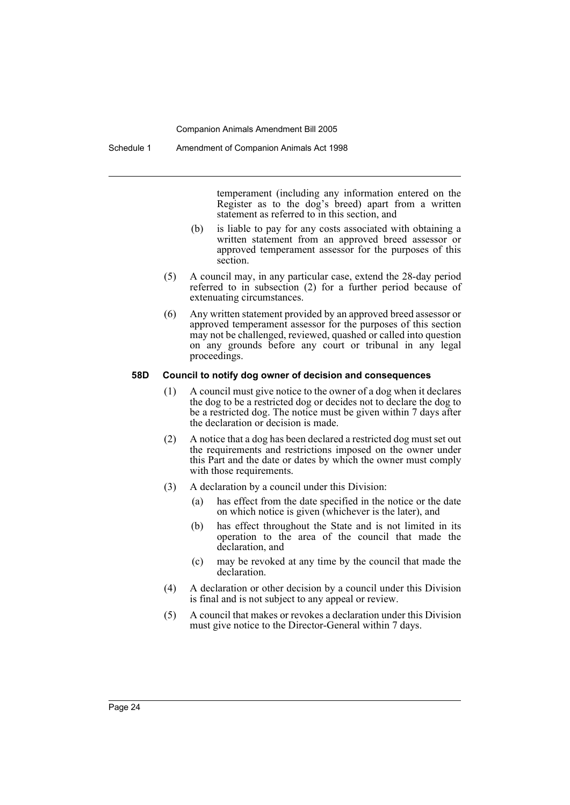temperament (including any information entered on the Register as to the dog's breed) apart from a written statement as referred to in this section, and

- (b) is liable to pay for any costs associated with obtaining a written statement from an approved breed assessor or approved temperament assessor for the purposes of this section.
- (5) A council may, in any particular case, extend the 28-day period referred to in subsection (2) for a further period because of extenuating circumstances.
- (6) Any written statement provided by an approved breed assessor or approved temperament assessor for the purposes of this section may not be challenged, reviewed, quashed or called into question on any grounds before any court or tribunal in any legal proceedings.

#### **58D Council to notify dog owner of decision and consequences**

- (1) A council must give notice to the owner of a dog when it declares the dog to be a restricted dog or decides not to declare the dog to be a restricted dog. The notice must be given within 7 days after the declaration or decision is made.
- (2) A notice that a dog has been declared a restricted dog must set out the requirements and restrictions imposed on the owner under this Part and the date or dates by which the owner must comply with those requirements.
- (3) A declaration by a council under this Division:
	- (a) has effect from the date specified in the notice or the date on which notice is given (whichever is the later), and
	- (b) has effect throughout the State and is not limited in its operation to the area of the council that made the declaration, and
	- (c) may be revoked at any time by the council that made the declaration.
- (4) A declaration or other decision by a council under this Division is final and is not subject to any appeal or review.
- (5) A council that makes or revokes a declaration under this Division must give notice to the Director-General within 7 days.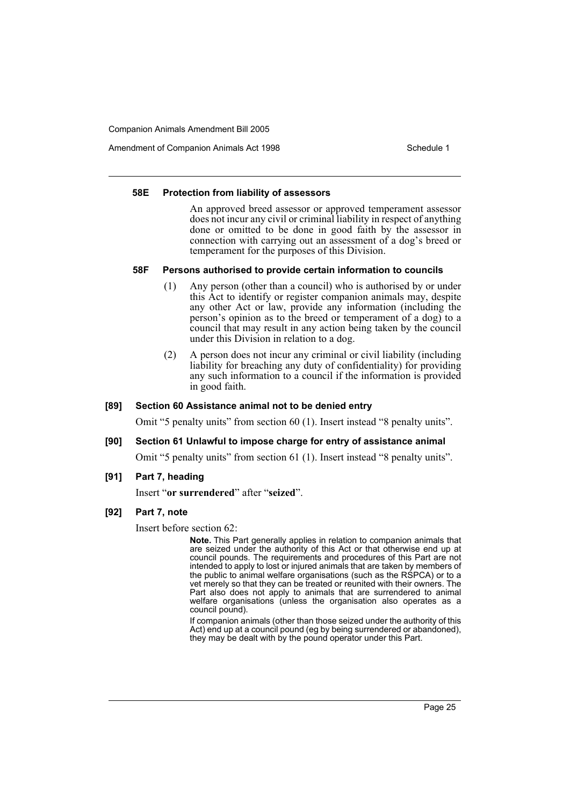Amendment of Companion Animals Act 1998 Schedule 1

#### **58E Protection from liability of assessors**

An approved breed assessor or approved temperament assessor does not incur any civil or criminal liability in respect of anything done or omitted to be done in good faith by the assessor in connection with carrying out an assessment of a dog's breed or temperament for the purposes of this Division.

#### **58F Persons authorised to provide certain information to councils**

- (1) Any person (other than a council) who is authorised by or under this Act to identify or register companion animals may, despite any other Act or law, provide any information (including the person's opinion as to the breed or temperament of a dog) to a council that may result in any action being taken by the council under this Division in relation to a dog.
- (2) A person does not incur any criminal or civil liability (including liability for breaching any duty of confidentiality) for providing any such information to a council if the information is provided in good faith.

#### **[89] Section 60 Assistance animal not to be denied entry**

Omit "5 penalty units" from section 60 (1). Insert instead "8 penalty units".

#### **[90] Section 61 Unlawful to impose charge for entry of assistance animal**

Omit "5 penalty units" from section 61 (1). Insert instead "8 penalty units".

**[91] Part 7, heading**

Insert "**or surrendered**" after "**seized**".

**[92] Part 7, note**

Insert before section 62:

**Note.** This Part generally applies in relation to companion animals that are seized under the authority of this Act or that otherwise end up at council pounds. The requirements and procedures of this Part are not intended to apply to lost or injured animals that are taken by members of the public to animal welfare organisations (such as the RSPCA) or to a vet merely so that they can be treated or reunited with their owners. The Part also does not apply to animals that are surrendered to animal welfare organisations (unless the organisation also operates as a council pound).

If companion animals (other than those seized under the authority of this Act) end up at a council pound (eg by being surrendered or abandoned), they may be dealt with by the pound operator under this Part.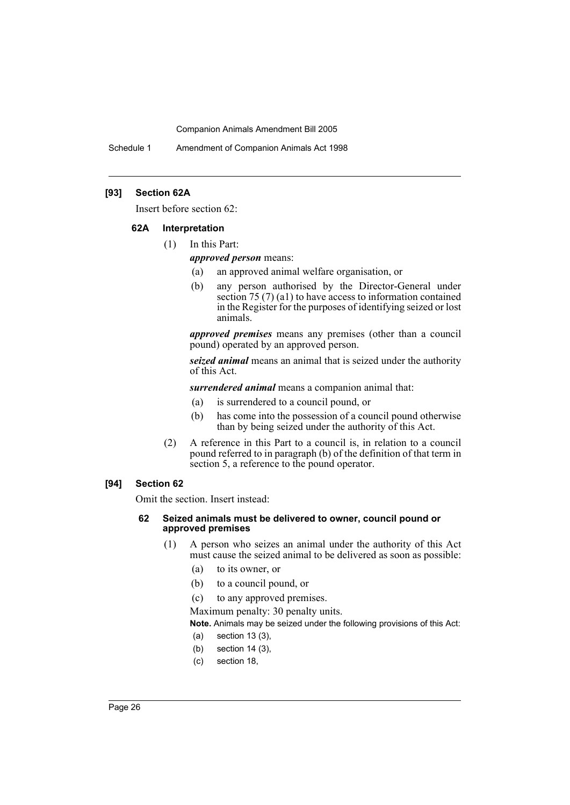Schedule 1 Amendment of Companion Animals Act 1998

### **[93] Section 62A**

Insert before section 62:

#### **62A Interpretation**

(1) In this Part:

*approved person* means:

- (a) an approved animal welfare organisation, or
- (b) any person authorised by the Director-General under section 75 (7) (a1) to have access to information contained in the Register for the purposes of identifying seized or lost animals.

*approved premises* means any premises (other than a council pound) operated by an approved person.

*seized animal* means an animal that is seized under the authority of this Act.

*surrendered animal* means a companion animal that:

- (a) is surrendered to a council pound, or
- (b) has come into the possession of a council pound otherwise than by being seized under the authority of this Act.
- (2) A reference in this Part to a council is, in relation to a council pound referred to in paragraph (b) of the definition of that term in section 5, a reference to the pound operator.

### **[94] Section 62**

Omit the section. Insert instead:

#### **62 Seized animals must be delivered to owner, council pound or approved premises**

- (1) A person who seizes an animal under the authority of this Act must cause the seized animal to be delivered as soon as possible:
	- (a) to its owner, or
	- (b) to a council pound, or
	- (c) to any approved premises.

Maximum penalty: 30 penalty units.

**Note.** Animals may be seized under the following provisions of this Act:

- (a) section 13 (3),
- (b) section 14 (3),
- (c) section 18,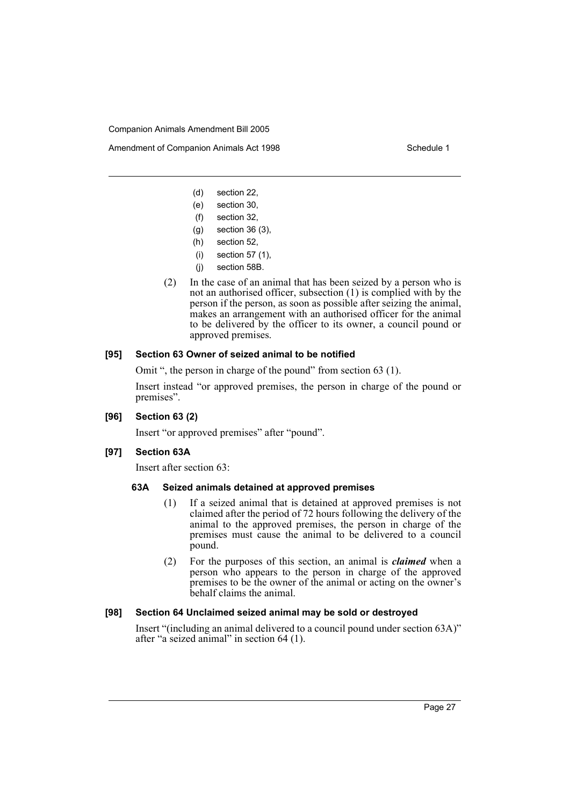Amendment of Companion Animals Act 1998 **Schedule 1** Schedule 1

- (d) section 22,
- (e) section 30,
- (f) section 32,
- (g) section 36 (3),
- (h) section 52,
- (i) section 57 (1),
- (j) section 58B.
- (2) In the case of an animal that has been seized by a person who is not an authorised officer, subsection (1) is complied with by the person if the person, as soon as possible after seizing the animal, makes an arrangement with an authorised officer for the animal to be delivered by the officer to its owner, a council pound or approved premises.

#### **[95] Section 63 Owner of seized animal to be notified**

Omit ", the person in charge of the pound" from section 63 (1).

Insert instead "or approved premises, the person in charge of the pound or premises".

### **[96] Section 63 (2)**

Insert "or approved premises" after "pound".

#### **[97] Section 63A**

Insert after section 63:

### **63A Seized animals detained at approved premises**

- (1) If a seized animal that is detained at approved premises is not claimed after the period of 72 hours following the delivery of the animal to the approved premises, the person in charge of the premises must cause the animal to be delivered to a council pound.
- (2) For the purposes of this section, an animal is *claimed* when a person who appears to the person in charge of the approved premises to be the owner of the animal or acting on the owner's behalf claims the animal.

### **[98] Section 64 Unclaimed seized animal may be sold or destroyed**

Insert "(including an animal delivered to a council pound under section 63A)" after "a seized animal" in section 64 (1).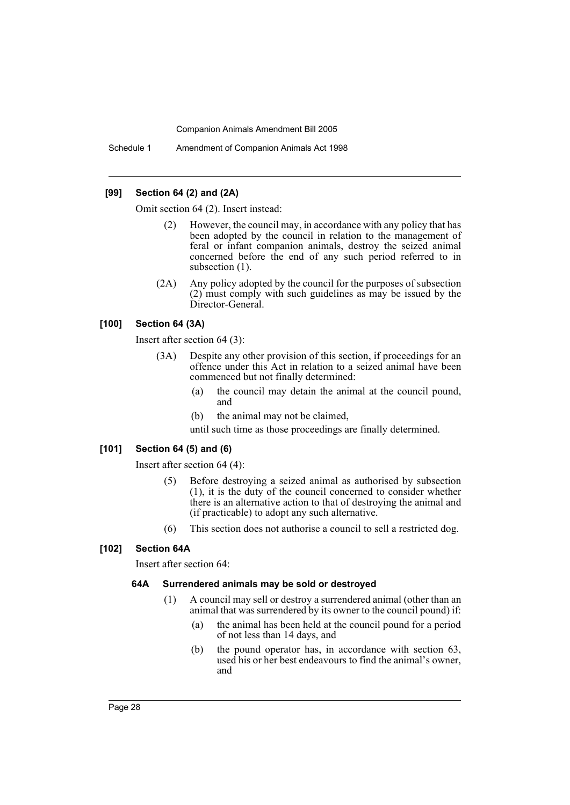Schedule 1 Amendment of Companion Animals Act 1998

### **[99] Section 64 (2) and (2A)**

Omit section 64 (2). Insert instead:

- (2) However, the council may, in accordance with any policy that has been adopted by the council in relation to the management of feral or infant companion animals, destroy the seized animal concerned before the end of any such period referred to in subsection  $(1)$ .
- (2A) Any policy adopted by the council for the purposes of subsection (2) must comply with such guidelines as may be issued by the Director-General.

### **[100] Section 64 (3A)**

Insert after section 64 (3):

- (3A) Despite any other provision of this section, if proceedings for an offence under this Act in relation to a seized animal have been commenced but not finally determined:
	- (a) the council may detain the animal at the council pound, and
	- (b) the animal may not be claimed,

until such time as those proceedings are finally determined.

### **[101] Section 64 (5) and (6)**

Insert after section 64 (4):

- (5) Before destroying a seized animal as authorised by subsection (1), it is the duty of the council concerned to consider whether there is an alternative action to that of destroying the animal and (if practicable) to adopt any such alternative.
- (6) This section does not authorise a council to sell a restricted dog.

### **[102] Section 64A**

Insert after section 64:

#### **64A Surrendered animals may be sold or destroyed**

- (1) A council may sell or destroy a surrendered animal (other than an animal that was surrendered by its owner to the council pound) if:
	- (a) the animal has been held at the council pound for a period of not less than 14 days, and
	- (b) the pound operator has, in accordance with section 63, used his or her best endeavours to find the animal's owner, and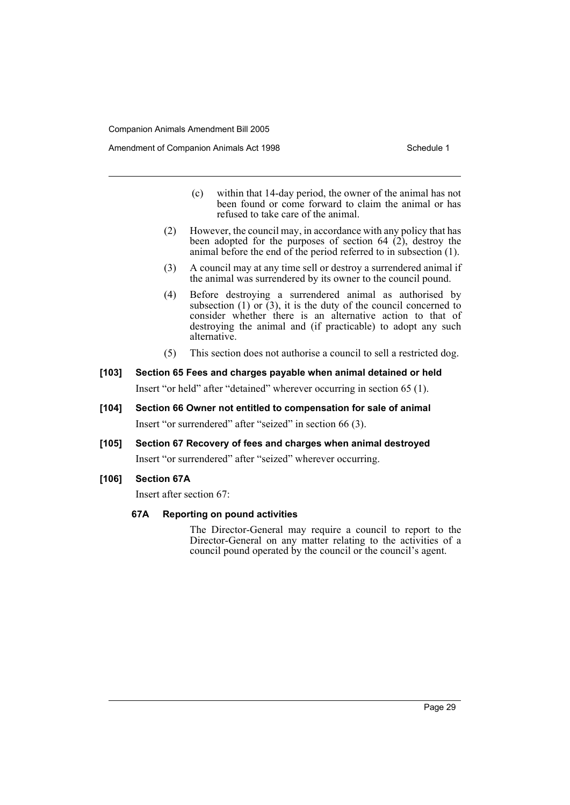- (c) within that 14-day period, the owner of the animal has not been found or come forward to claim the animal or has refused to take care of the animal.
- (2) However, the council may, in accordance with any policy that has been adopted for the purposes of section  $64$  (2), destroy the animal before the end of the period referred to in subsection (1).
- (3) A council may at any time sell or destroy a surrendered animal if the animal was surrendered by its owner to the council pound.
- (4) Before destroying a surrendered animal as authorised by subsection (1) or  $(3)$ , it is the duty of the council concerned to consider whether there is an alternative action to that of destroying the animal and (if practicable) to adopt any such alternative.
- (5) This section does not authorise a council to sell a restricted dog.

## **[103] Section 65 Fees and charges payable when animal detained or held** Insert "or held" after "detained" wherever occurring in section 65 (1).

- **[104] Section 66 Owner not entitled to compensation for sale of animal** Insert "or surrendered" after "seized" in section 66 (3).
- **[105] Section 67 Recovery of fees and charges when animal destroyed** Insert "or surrendered" after "seized" wherever occurring.
- **[106] Section 67A**

Insert after section 67:

### **67A Reporting on pound activities**

The Director-General may require a council to report to the Director-General on any matter relating to the activities of a council pound operated by the council or the council's agent.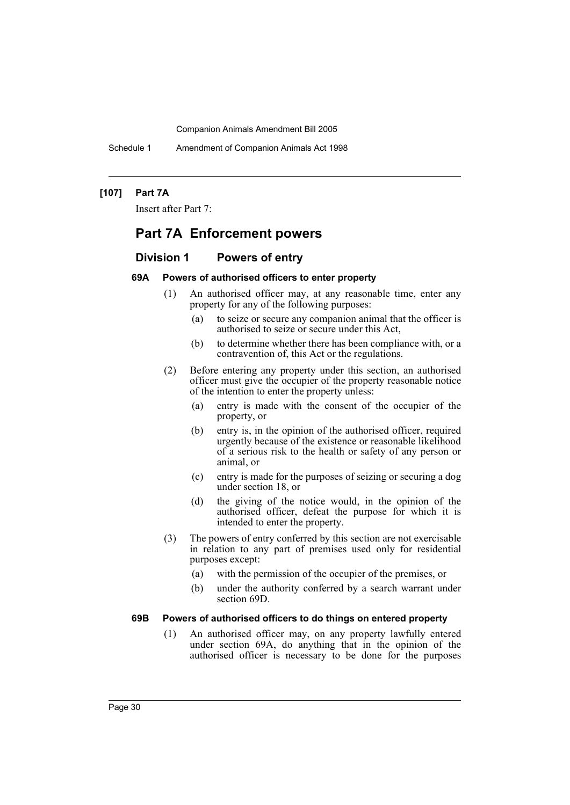Schedule 1 Amendment of Companion Animals Act 1998

### **[107] Part 7A**

Insert after Part 7:

## **Part 7A Enforcement powers**

### **Division 1 Powers of entry**

### **69A Powers of authorised officers to enter property**

- (1) An authorised officer may, at any reasonable time, enter any property for any of the following purposes:
	- (a) to seize or secure any companion animal that the officer is authorised to seize or secure under this Act,
	- (b) to determine whether there has been compliance with, or a contravention of, this Act or the regulations.
- (2) Before entering any property under this section, an authorised officer must give the occupier of the property reasonable notice of the intention to enter the property unless:
	- (a) entry is made with the consent of the occupier of the property, or
	- (b) entry is, in the opinion of the authorised officer, required urgently because of the existence or reasonable likelihood of a serious risk to the health or safety of any person or animal, or
	- (c) entry is made for the purposes of seizing or securing a dog under section 18, or
	- (d) the giving of the notice would, in the opinion of the authorised officer, defeat the purpose for which it is intended to enter the property.
- (3) The powers of entry conferred by this section are not exercisable in relation to any part of premises used only for residential purposes except:
	- (a) with the permission of the occupier of the premises, or
	- (b) under the authority conferred by a search warrant under section 69D.

#### **69B Powers of authorised officers to do things on entered property**

(1) An authorised officer may, on any property lawfully entered under section 69A, do anything that in the opinion of the authorised officer is necessary to be done for the purposes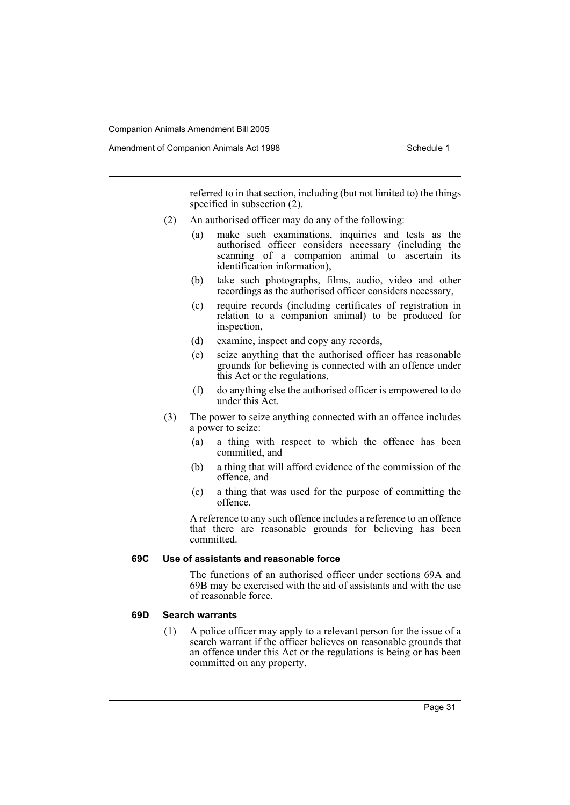Amendment of Companion Animals Act 1998 Schedule 1

referred to in that section, including (but not limited to) the things specified in subsection  $(2)$ .

- (2) An authorised officer may do any of the following:
	- (a) make such examinations, inquiries and tests as the authorised officer considers necessary (including the scanning of a companion animal to ascertain its identification information),
	- (b) take such photographs, films, audio, video and other recordings as the authorised officer considers necessary,
	- (c) require records (including certificates of registration in relation to a companion animal) to be produced for inspection,
	- (d) examine, inspect and copy any records,
	- (e) seize anything that the authorised officer has reasonable grounds for believing is connected with an offence under this Act or the regulations,
	- (f) do anything else the authorised officer is empowered to do under this Act.
- (3) The power to seize anything connected with an offence includes a power to seize:
	- (a) a thing with respect to which the offence has been committed, and
	- (b) a thing that will afford evidence of the commission of the offence, and
	- (c) a thing that was used for the purpose of committing the offence.

A reference to any such offence includes a reference to an offence that there are reasonable grounds for believing has been committed.

### **69C Use of assistants and reasonable force**

The functions of an authorised officer under sections 69A and 69B may be exercised with the aid of assistants and with the use of reasonable force.

#### **69D Search warrants**

(1) A police officer may apply to a relevant person for the issue of a search warrant if the officer believes on reasonable grounds that an offence under this Act or the regulations is being or has been committed on any property.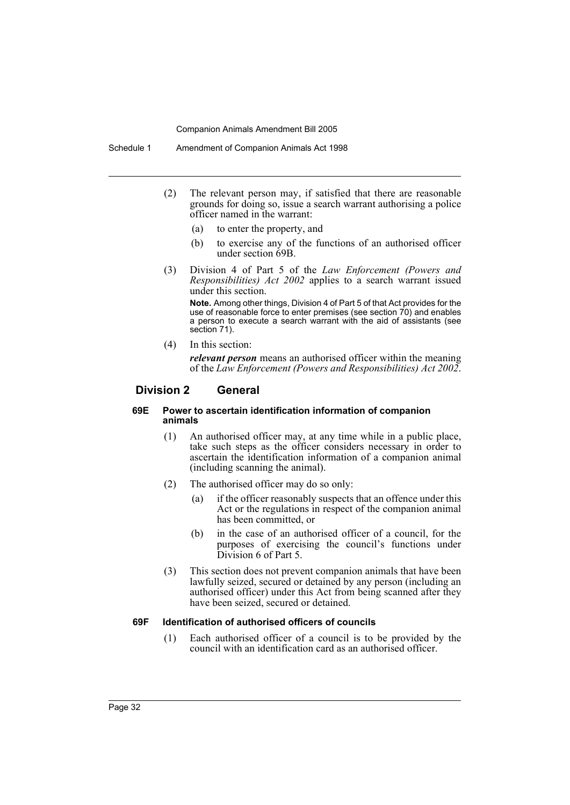- (2) The relevant person may, if satisfied that there are reasonable grounds for doing so, issue a search warrant authorising a police officer named in the warrant:
	- (a) to enter the property, and
	- (b) to exercise any of the functions of an authorised officer under section 69B.
- (3) Division 4 of Part 5 of the *Law Enforcement (Powers and Responsibilities) Act 2002* applies to a search warrant issued under this section.

**Note.** Among other things, Division 4 of Part 5 of that Act provides for the use of reasonable force to enter premises (see section 70) and enables a person to execute a search warrant with the aid of assistants (see section 71).

(4) In this section:

*relevant person* means an authorised officer within the meaning of the *Law Enforcement (Powers and Responsibilities) Act 2002*.

### **Division 2 General**

#### **69E Power to ascertain identification information of companion animals**

- (1) An authorised officer may, at any time while in a public place, take such steps as the officer considers necessary in order to ascertain the identification information of a companion animal (including scanning the animal).
- (2) The authorised officer may do so only:
	- (a) if the officer reasonably suspects that an offence under this Act or the regulations in respect of the companion animal has been committed, or
	- (b) in the case of an authorised officer of a council, for the purposes of exercising the council's functions under Division 6 of Part 5.
- (3) This section does not prevent companion animals that have been lawfully seized, secured or detained by any person (including an authorised officer) under this Act from being scanned after they have been seized, secured or detained.

### **69F Identification of authorised officers of councils**

(1) Each authorised officer of a council is to be provided by the council with an identification card as an authorised officer.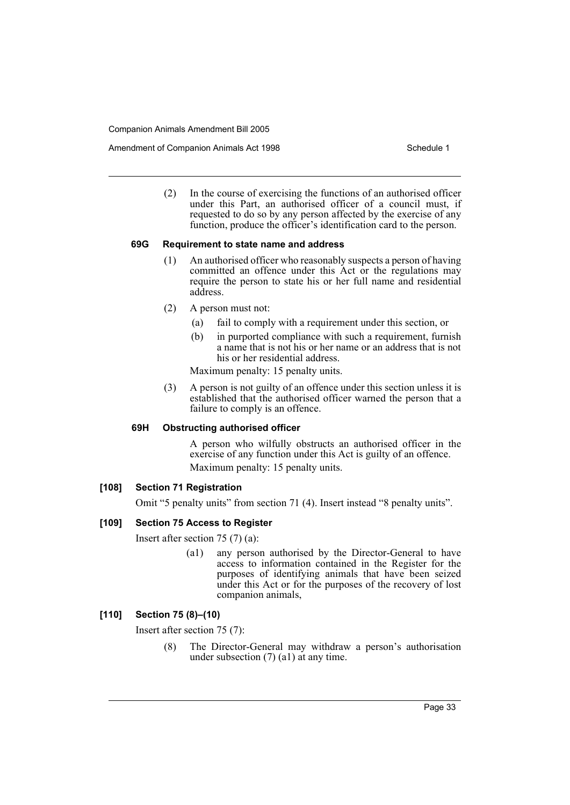Amendment of Companion Animals Act 1998 Schedule 1

(2) In the course of exercising the functions of an authorised officer under this Part, an authorised officer of a council must, if requested to do so by any person affected by the exercise of any function, produce the officer's identification card to the person.

### **69G Requirement to state name and address**

- (1) An authorised officer who reasonably suspects a person of having committed an offence under this Act or the regulations may require the person to state his or her full name and residential address.
- (2) A person must not:
	- (a) fail to comply with a requirement under this section, or
	- (b) in purported compliance with such a requirement, furnish a name that is not his or her name or an address that is not his or her residential address.

Maximum penalty: 15 penalty units.

(3) A person is not guilty of an offence under this section unless it is established that the authorised officer warned the person that a failure to comply is an offence.

### **69H Obstructing authorised officer**

A person who wilfully obstructs an authorised officer in the exercise of any function under this Act is guilty of an offence. Maximum penalty: 15 penalty units.

### **[108] Section 71 Registration**

Omit "5 penalty units" from section 71 (4). Insert instead "8 penalty units".

### **[109] Section 75 Access to Register**

Insert after section 75 (7) (a):

(a1) any person authorised by the Director-General to have access to information contained in the Register for the purposes of identifying animals that have been seized under this Act or for the purposes of the recovery of lost companion animals,

### **[110] Section 75 (8)–(10)**

Insert after section 75 (7):

(8) The Director-General may withdraw a person's authorisation under subsection (7) (a1) at any time.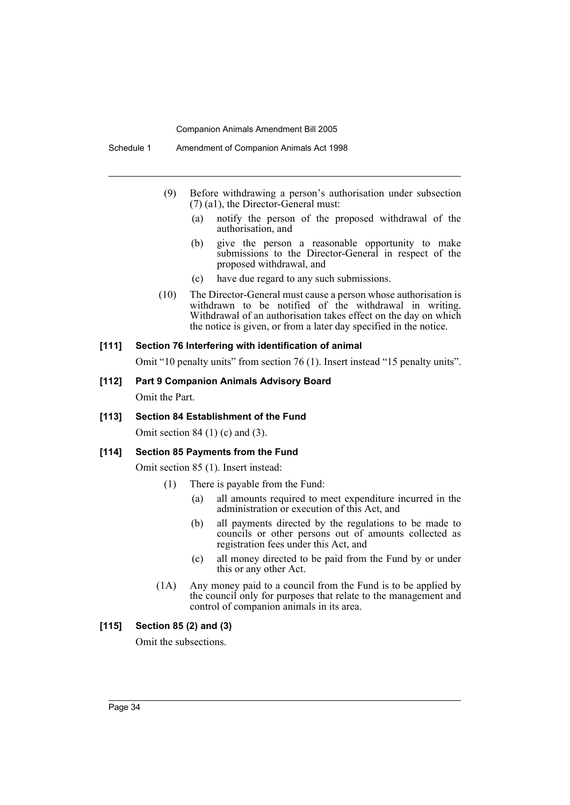- (9) Before withdrawing a person's authorisation under subsection (7) (a1), the Director-General must:
	- (a) notify the person of the proposed withdrawal of the authorisation, and
	- (b) give the person a reasonable opportunity to make submissions to the Director-General in respect of the proposed withdrawal, and
	- (c) have due regard to any such submissions.
- (10) The Director-General must cause a person whose authorisation is withdrawn to be notified of the withdrawal in writing. Withdrawal of an authorisation takes effect on the day on which the notice is given, or from a later day specified in the notice.

#### **[111] Section 76 Interfering with identification of animal**

Omit "10 penalty units" from section 76 (1). Insert instead "15 penalty units".

- **[112] Part 9 Companion Animals Advisory Board** Omit the Part.
- **[113] Section 84 Establishment of the Fund**

Omit section 84 (1) (c) and (3).

#### **[114] Section 85 Payments from the Fund**

Omit section 85 (1). Insert instead:

- (1) There is payable from the Fund:
	- (a) all amounts required to meet expenditure incurred in the administration or execution of this Act, and
	- (b) all payments directed by the regulations to be made to councils or other persons out of amounts collected as registration fees under this Act, and
	- (c) all money directed to be paid from the Fund by or under this or any other Act.
- (1A) Any money paid to a council from the Fund is to be applied by the council only for purposes that relate to the management and control of companion animals in its area.

### **[115] Section 85 (2) and (3)**

Omit the subsections.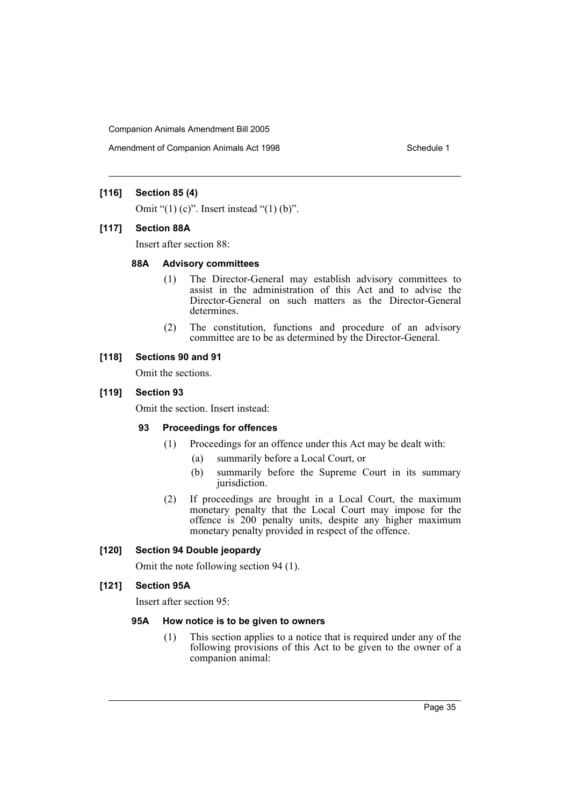Amendment of Companion Animals Act 1998 Schedule 1

### **[116] Section 85 (4)**

Omit " $(1)$  (c)". Insert instead " $(1)$  (b)".

#### **[117] Section 88A**

Insert after section 88:

#### **88A Advisory committees**

- (1) The Director-General may establish advisory committees to assist in the administration of this Act and to advise the Director-General on such matters as the Director-General determines.
- (2) The constitution, functions and procedure of an advisory committee are to be as determined by the Director-General.

### **[118] Sections 90 and 91**

Omit the sections.

### **[119] Section 93**

Omit the section. Insert instead:

### **93 Proceedings for offences**

- (1) Proceedings for an offence under this Act may be dealt with:
	- (a) summarily before a Local Court, or
	- (b) summarily before the Supreme Court in its summary jurisdiction.
- (2) If proceedings are brought in a Local Court, the maximum monetary penalty that the Local Court may impose for the offence is 200 penalty units, despite any higher maximum monetary penalty provided in respect of the offence.

#### **[120] Section 94 Double jeopardy**

Omit the note following section 94 (1).

#### **[121] Section 95A**

Insert after section 95:

### **95A How notice is to be given to owners**

(1) This section applies to a notice that is required under any of the following provisions of this Act to be given to the owner of a companion animal: